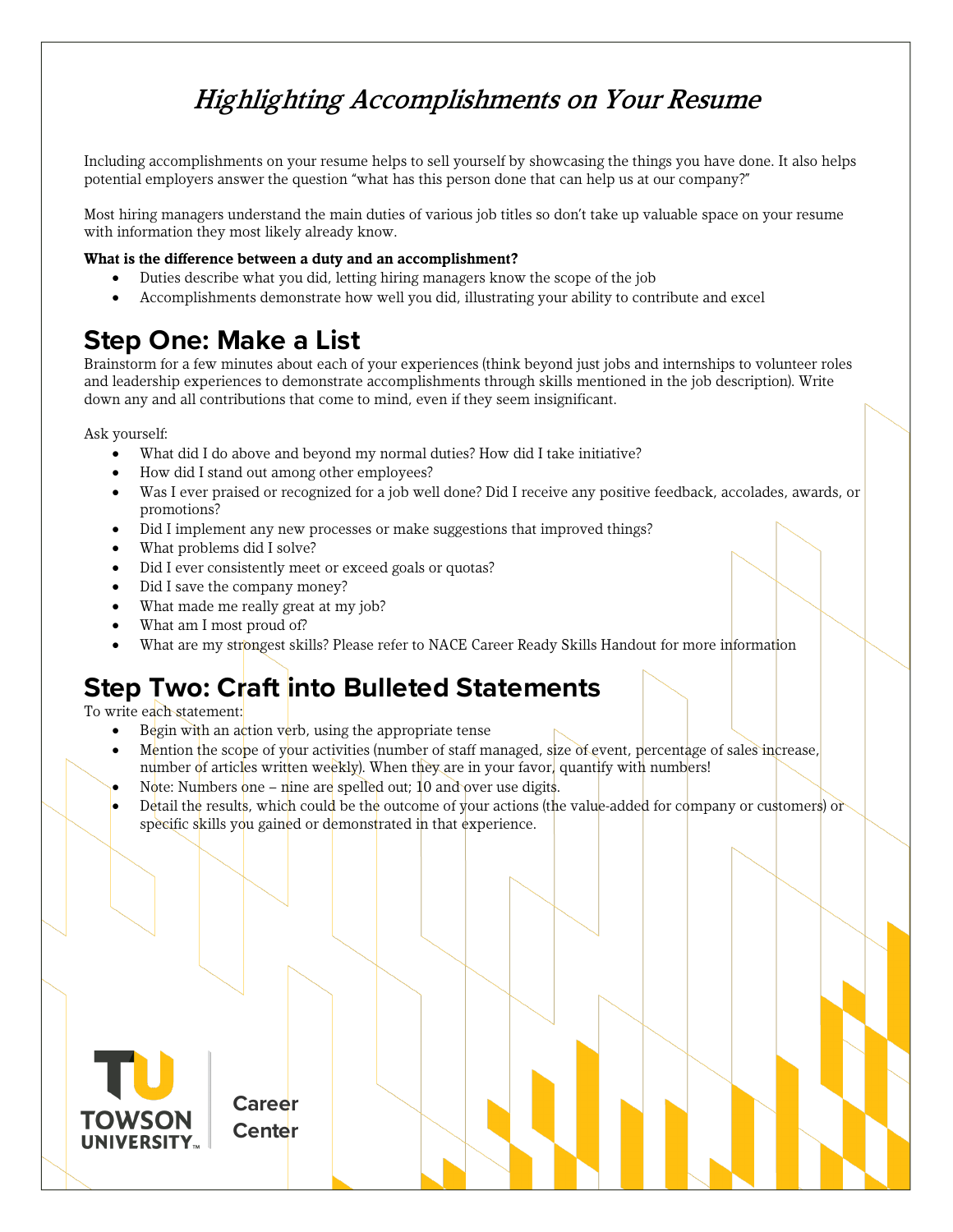## Highlighting Accomplishments on Your Resume

Including accomplishments on your resume helps to sell yourself by showcasing the things you have done. It also helps potential employers answer the question "what has this person done that can help us at our company?"

Most hiring managers understand the main duties of various job titles so don't take up valuable space on your resume with information they most likely already know.

## **What is the difference between a duty and an accomplishment?**

- Duties describe what you did, letting hiring managers know the scope of the job
- Accomplishments demonstrate how well you did, illustrating your ability to contribute and excel

## **Step One: Make a List**

Brainstorm for a few minutes about each of your experiences (think beyond just jobs and internships to volunteer roles and leadership experiences to demonstrate accomplishments through skills mentioned in the job description). Write down any and all contributions that come to mind, even if they seem insignificant.

Ask yourself:

- What did I do above and beyond my normal duties? How did I take initiative?
- How did I stand out among other employees?
- Was I ever praised or recognized for a job well done? Did I receive any positive feedback, accolades, awards, or promotions?
- Did I implement any new processes or make suggestions that improved things?
- What problems did I solve?
- Did I ever consistently meet or exceed goals or quotas?
- Did I save the company money?
- What made me really great at my job?
- What am I most proud of?
- What are my strongest skills? Please refer to NACE Career Ready Skills Handout for more information

## **Step Two: Craft into Bulleted Statements**

To write each statement:

Begin with an action verb, using the appropriate tense

**Career Center**

- Mention the scope of your activities (number of staff managed, size of event, percentage of sales increase, number of articles written weekly). When they are in your favor, quantify with numbers!
- Note: Numbers one nine are spelled out; 10 and over use digits.
- Detail the results, which could be the outcome of your actions (the value-added for company or customers) or specific skills you gained or demonstrated in that experience.